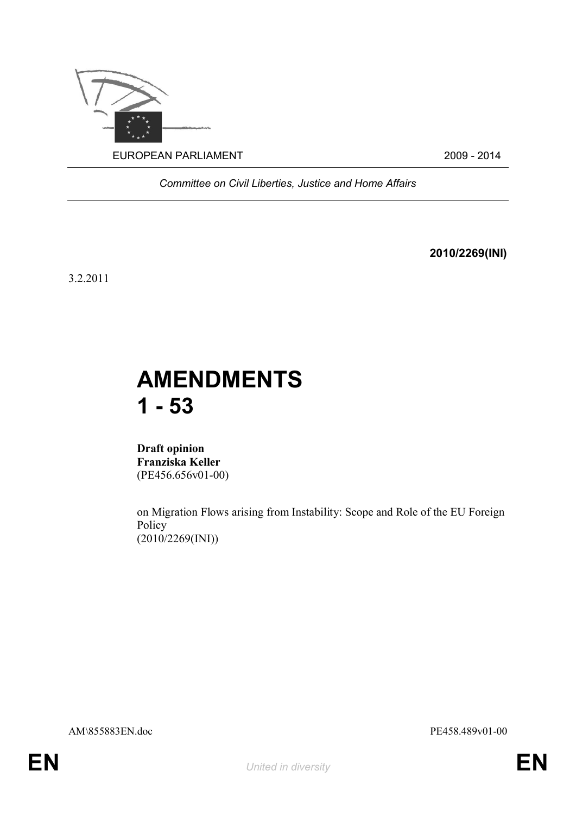

*Committee on Civil Liberties, Justice and Home Affairs*

**2010/2269(INI)**

3.2.2011

# **AMENDMENTS 1 - 53**

**Draft opinion Franziska Keller** (PE456.656v01-00)

on Migration Flows arising from Instability: Scope and Role of the EU Foreign Policy  $(2010/2269(NI))$ 

AM\855883EN.doc PE458.489v01-00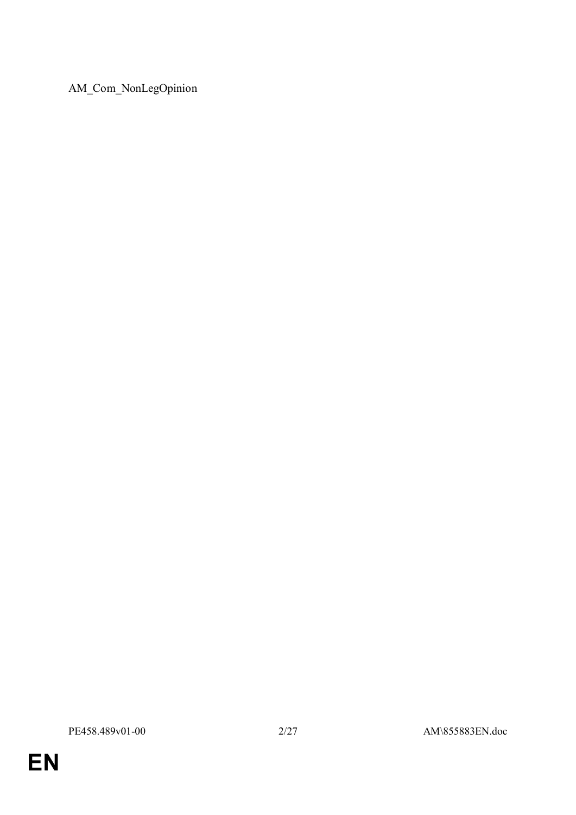AM\_Com\_NonLegOpinion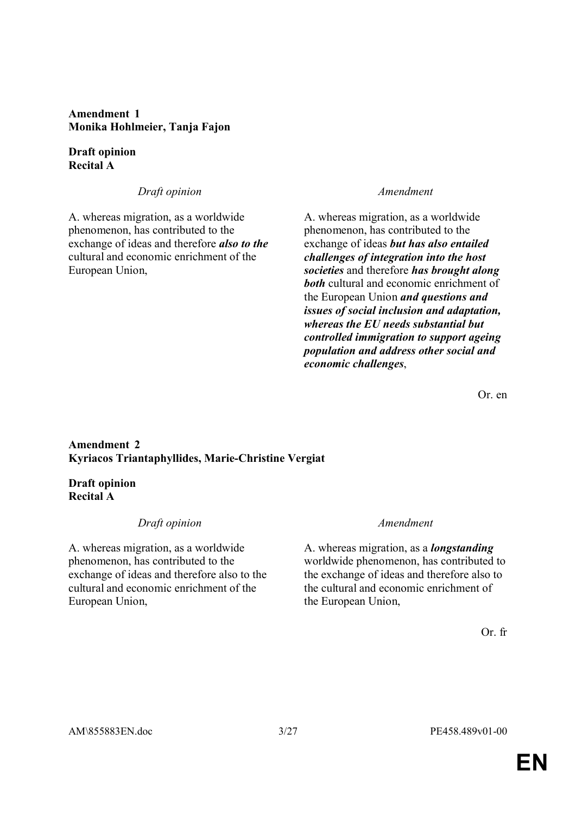**Amendment 1 Monika Hohlmeier, Tanja Fajon**

**Draft opinion Recital A**

### *Draft opinion Amendment*

A. whereas migration, as a worldwide phenomenon, has contributed to the exchange of ideas and therefore *also to the* cultural and economic enrichment of the European Union,

A. whereas migration, as a worldwide phenomenon, has contributed to the exchange of ideas *but has also entailed challenges of integration into the host societies* and therefore *has brought along both* cultural and economic enrichment of the European Union *and questions and issues of social inclusion and adaptation, whereas the EU needs substantial but controlled immigration to support ageing population and address other social and economic challenges*,

Or. en

### **Amendment 2 Kyriacos Triantaphyllides, Marie-Christine Vergiat**

## **Draft opinion Recital A**

### *Draft opinion Amendment*

A. whereas migration, as a worldwide phenomenon, has contributed to the exchange of ideas and therefore also to the cultural and economic enrichment of the European Union,

A. whereas migration, as a *longstanding*  worldwide phenomenon, has contributed to the exchange of ideas and therefore also to the cultural and economic enrichment of the European Union,

Or. fr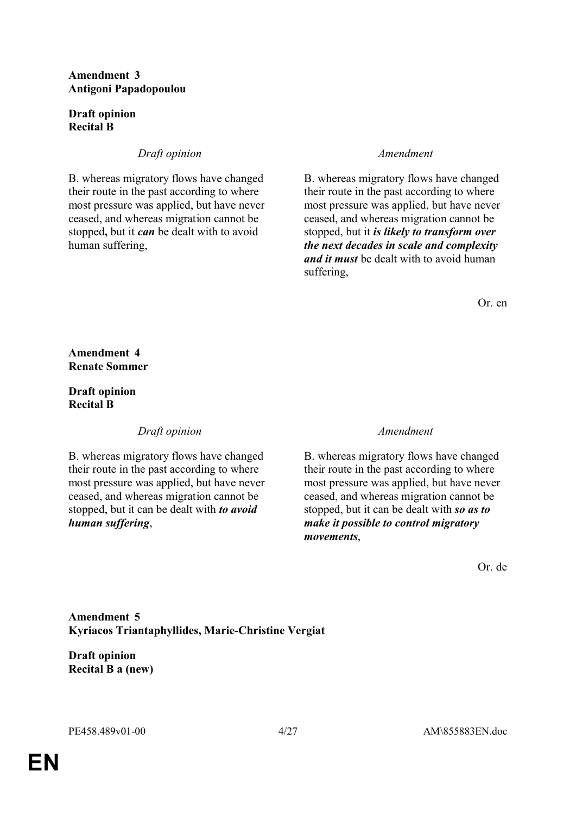### **Amendment 3 Antigoni Papadopoulou**

# **Draft opinion Recital B**

# *Draft opinion Amendment*

B. whereas migratory flows have changed their route in the past according to where most pressure was applied, but have never ceased, and whereas migration cannot be stopped**,** but it *can* be dealt with to avoid human suffering,

B. whereas migratory flows have changed their route in the past according to where most pressure was applied, but have never ceased, and whereas migration cannot be stopped, but it *is likely to transform over the next decades in scale and complexity and it must* be dealt with to avoid human suffering,

Or. en

**Amendment 4 Renate Sommer**

**Draft opinion Recital B**

*Draft opinion Amendment*

B. whereas migratory flows have changed their route in the past according to where most pressure was applied, but have never ceased, and whereas migration cannot be stopped, but it can be dealt with *to avoid human suffering*,

B. whereas migratory flows have changed their route in the past according to where most pressure was applied, but have never ceased, and whereas migration cannot be stopped, but it can be dealt with *so as to make it possible to control migratory movements*,

Or. de

# **Amendment 5 Kyriacos Triantaphyllides, Marie-Christine Vergiat**

**Draft opinion Recital B a (new)**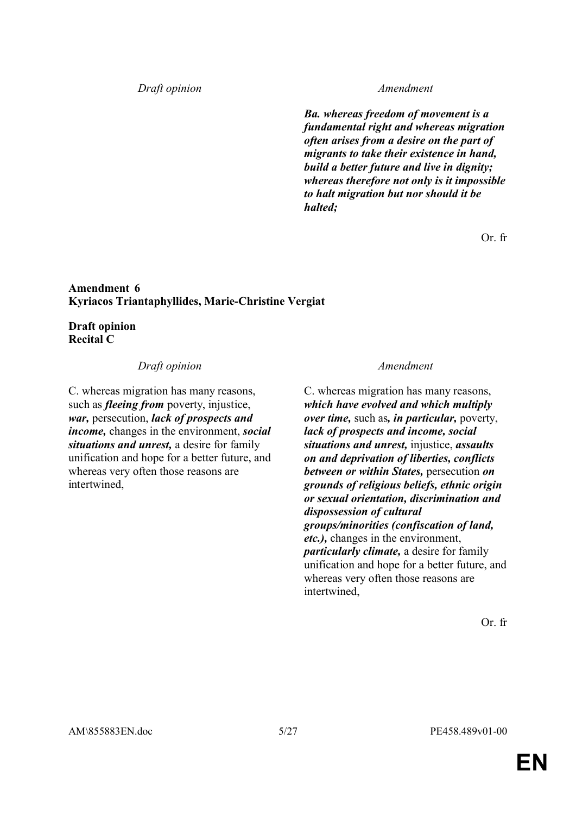### *Draft opinion Amendment*

*Ba. whereas freedom of movement is a fundamental right and whereas migration often arises from a desire on the part of migrants to take their existence in hand, build a better future and live in dignity; whereas therefore not only is it impossible to halt migration but nor should it be halted;*

Or. fr

### **Amendment 6 Kyriacos Triantaphyllides, Marie-Christine Vergiat**

**Draft opinion Recital C**

### *Draft opinion Amendment*

C. whereas migration has many reasons, such as *fleeing from* poverty, injustice, *war,* persecution, *lack of prospects and income,* changes in the environment, *social situations and unrest,* a desire for family unification and hope for a better future, and whereas very often those reasons are intertwined,

C. whereas migration has many reasons, *which have evolved and which multiply over time,* such as*, in particular,* poverty, *lack of prospects and income, social situations and unrest,* injustice, *assaults on and deprivation of liberties, conflicts between or within States,* persecution *on grounds of religious beliefs, ethnic origin or sexual orientation, discrimination and dispossession of cultural groups/minorities (confiscation of land, etc.),* changes in the environment, *particularly climate,* a desire for family unification and hope for a better future, and whereas very often those reasons are intertwined,

Or. fr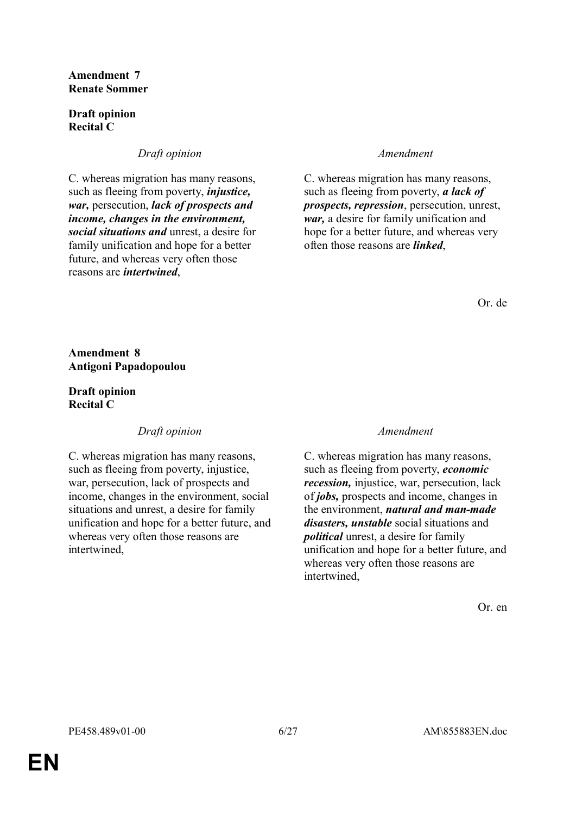### **Amendment 7 Renate Sommer**

### **Draft opinion Recital C**

# *Draft opinion Amendment*

C. whereas migration has many reasons, such as fleeing from poverty, *injustice, war,* persecution, *lack of prospects and income, changes in the environment, social situations and* unrest, a desire for family unification and hope for a better future, and whereas very often those reasons are *intertwined*,

C. whereas migration has many reasons, such as fleeing from poverty, *a lack of prospects, repression*, persecution, unrest, *war,* a desire for family unification and hope for a better future, and whereas very often those reasons are *linked*,

Or. de

**Amendment 8 Antigoni Papadopoulou**

**Draft opinion Recital C**

# *Draft opinion Amendment*

C. whereas migration has many reasons, such as fleeing from poverty, injustice, war, persecution, lack of prospects and income, changes in the environment, social situations and unrest, a desire for family unification and hope for a better future, and whereas very often those reasons are intertwined,

C. whereas migration has many reasons, such as fleeing from poverty, *economic recession,* injustice, war, persecution, lack of *jobs,* prospects and income, changes in the environment, *natural and man-made disasters, unstable* social situations and *political* unrest, a desire for family unification and hope for a better future, and whereas very often those reasons are intertwined,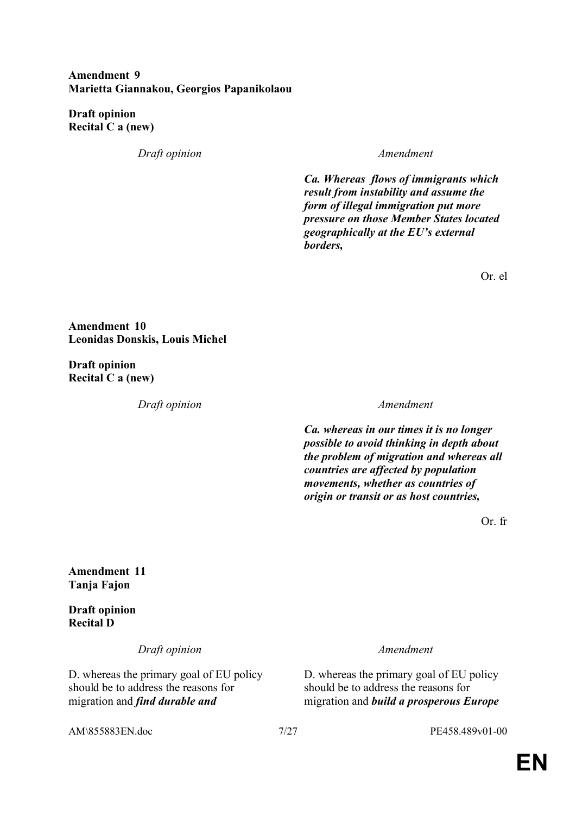### **Amendment 9 Marietta Giannakou, Georgios Papanikolaou**

**Draft opinion Recital C a (new)**

*Draft opinion Amendment*

*Ca. Whereas flows of immigrants which result from instability and assume the form of illegal immigration put more pressure on those Member States located geographically at the EU's external borders,* 

Or. el

**Amendment 10 Leonidas Donskis, Louis Michel**

**Draft opinion Recital C a (new)**

*Draft opinion Amendment*

*Ca. whereas in our times it is no longer possible to avoid thinking in depth about the problem of migration and whereas all countries are affected by population movements, whether as countries of origin or transit or as host countries,*

Or. fr

## **Amendment 11 Tanja Fajon**

**Draft opinion Recital D**

*Draft opinion Amendment*

D. whereas the primary goal of EU policy should be to address the reasons for migration and *find durable and* 

D. whereas the primary goal of EU policy should be to address the reasons for migration and *build a prosperous Europe* 

AM\855883EN.doc 7/27 PE458.489v01-00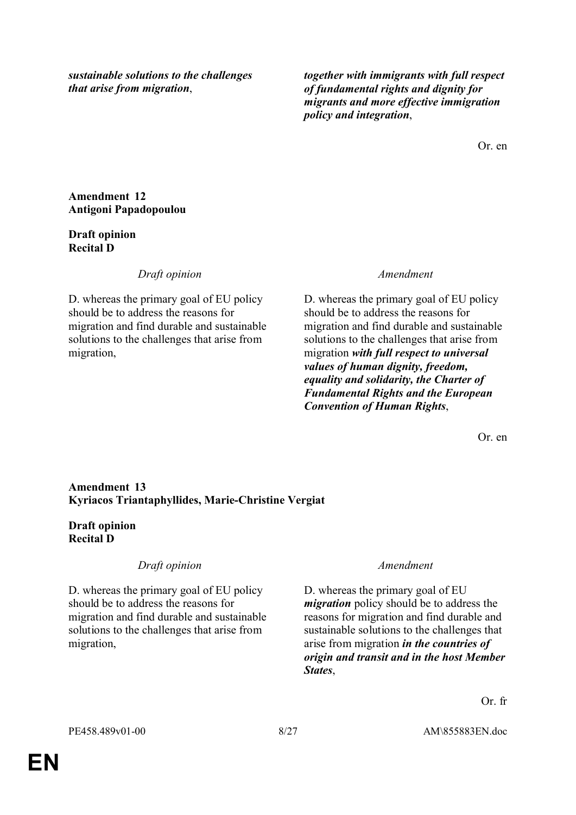*sustainable solutions to the challenges that arise from migration*,

*together with immigrants with full respect of fundamental rights and dignity for migrants and more effective immigration policy and integration*,

Or. en

## **Amendment 12 Antigoni Papadopoulou**

# **Draft opinion Recital D**

*Draft opinion Amendment*

D. whereas the primary goal of EU policy should be to address the reasons for migration and find durable and sustainable solutions to the challenges that arise from migration,

D. whereas the primary goal of EU policy should be to address the reasons for migration and find durable and sustainable solutions to the challenges that arise from migration *with full respect to universal values of human dignity, freedom, equality and solidarity, the Charter of Fundamental Rights and the European Convention of Human Rights*,

Or. en

# **Amendment 13 Kyriacos Triantaphyllides, Marie-Christine Vergiat**

# **Draft opinion Recital D**

*Draft opinion Amendment*

D. whereas the primary goal of EU policy should be to address the reasons for migration and find durable and sustainable solutions to the challenges that arise from migration,

D. whereas the primary goal of EU *migration* policy should be to address the reasons for migration and find durable and sustainable solutions to the challenges that arise from migration *in the countries of origin and transit and in the host Member States*,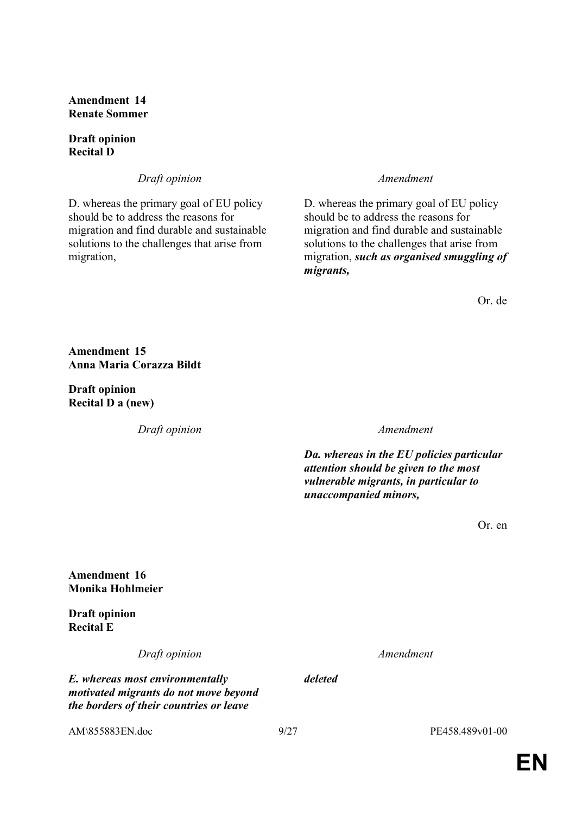**Amendment 14 Renate Sommer**

### **Draft opinion Recital D**

*Draft opinion Amendment*

D. whereas the primary goal of EU policy should be to address the reasons for migration and find durable and sustainable solutions to the challenges that arise from migration,

D. whereas the primary goal of EU policy should be to address the reasons for migration and find durable and sustainable solutions to the challenges that arise from migration, *such as organised smuggling of migrants,*

Or. de

**Amendment 15 Anna Maria Corazza Bildt**

**Draft opinion Recital D a (new)**

*Draft opinion Amendment*

*Da. whereas in the EU policies particular attention should be given to the most vulnerable migrants, in particular to unaccompanied minors,*

Or. en

**Amendment 16 Monika Hohlmeier**

**Draft opinion Recital E**

*Draft opinion Amendment*

*the borders of their countries or leave* 

*E. whereas most environmentally motivated migrants do not move beyond* 

*deleted*

AM\855883EN.doc 9/27 PE458.489v01-00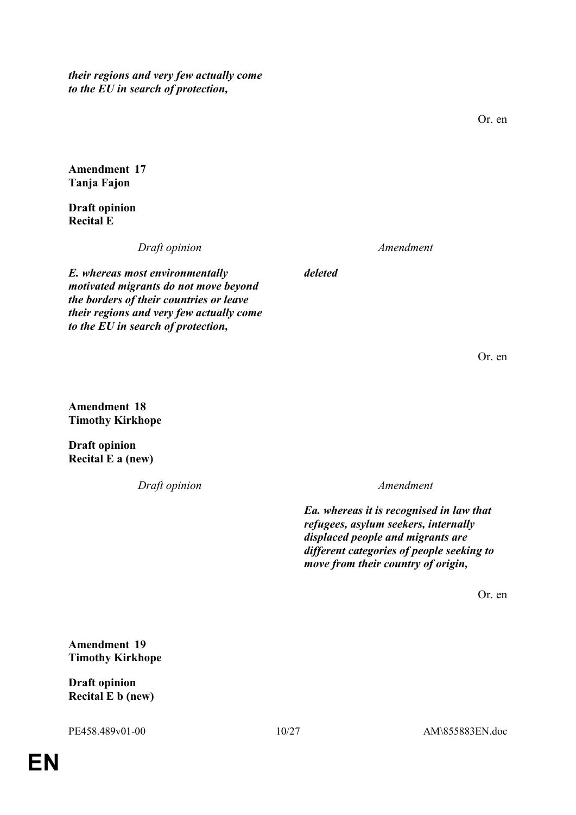*their regions and very few actually come to the EU in search of protection,*

Or. en

**Amendment 17 Tanja Fajon**

**Draft opinion Recital E**

*Draft opinion Amendment*

*deleted*

*E. whereas most environmentally motivated migrants do not move beyond the borders of their countries or leave their regions and very few actually come to the EU in search of protection,*

Or. en

**Amendment 18 Timothy Kirkhope**

**Draft opinion Recital E a (new)**

*Draft opinion Amendment*

*Ea. whereas it is recognised in law that refugees, asylum seekers, internally displaced people and migrants are different categories of people seeking to move from their country of origin,*

Or. en

**Amendment 19 Timothy Kirkhope**

**Draft opinion Recital E b (new)**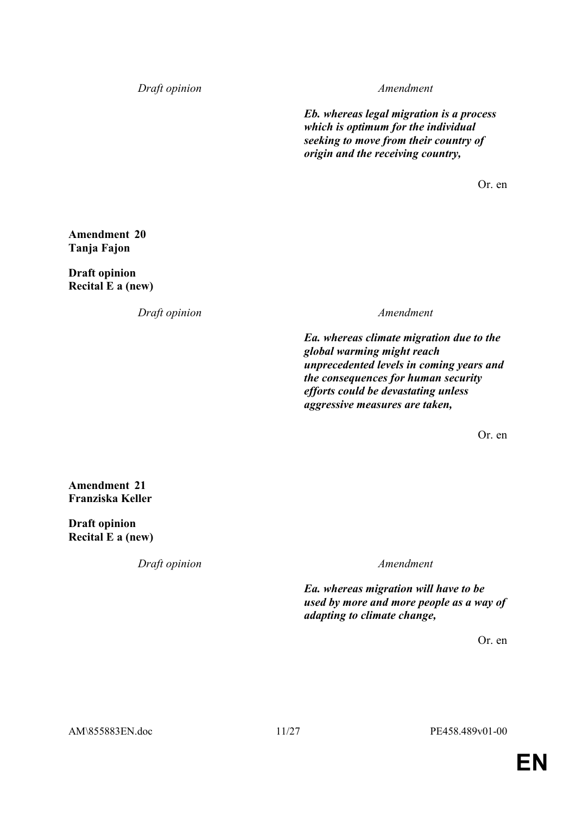*Draft opinion Amendment*

*Eb. whereas legal migration is a process which is optimum for the individual seeking to move from their country of origin and the receiving country,*

Or. en

**Amendment 20 Tanja Fajon**

**Draft opinion Recital E a (new)**

*Draft opinion Amendment*

*Ea. whereas climate migration due to the global warming might reach unprecedented levels in coming years and the consequences for human security efforts could be devastating unless aggressive measures are taken,*

Or. en

**Amendment 21 Franziska Keller**

**Draft opinion Recital E a (new)**

*Draft opinion Amendment*

*Ea. whereas migration will have to be used by more and more people as a way of adapting to climate change,*

Or. en

AM\855883EN.doc 11/27 PE458.489v01-00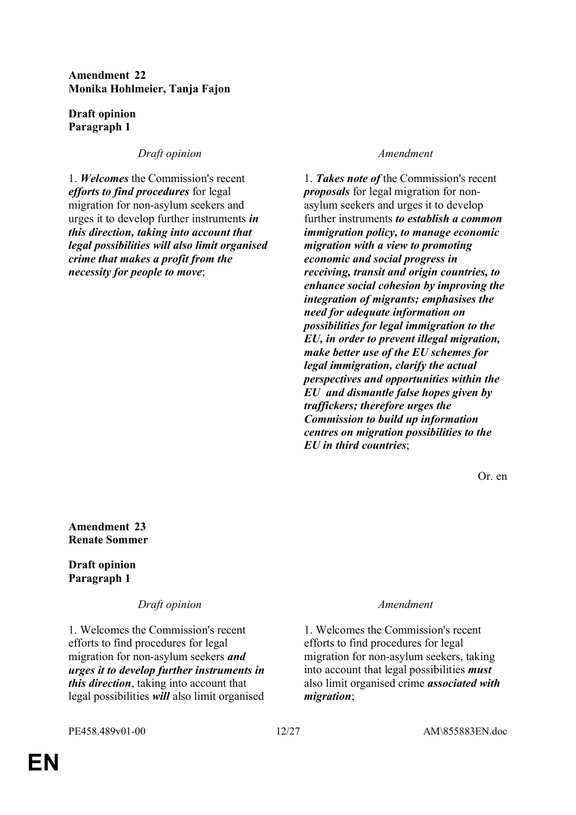# **Amendment 22 Monika Hohlmeier, Tanja Fajon**

**Draft opinion Paragraph 1**

*Draft opinion Amendment*

1. *Welcomes* the Commission's recent *efforts to find procedures* for legal migration for non-asylum seekers and urges it to develop further instruments *in this direction, taking into account that legal possibilities will also limit organised crime that makes a profit from the necessity for people to move*;

1. *Takes note of* the Commission's recent *proposals* for legal migration for nonasylum seekers and urges it to develop further instruments *to establish a common immigration policy, to manage economic migration with a view to promoting economic and social progress in receiving, transit and origin countries, to enhance social cohesion by improving the integration of migrants; emphasises the need for adequate information on possibilities for legal immigration to the EU, in order to prevent illegal migration, make better use of the EU schemes for legal immigration, clarify the actual perspectives and opportunities within the EU and dismantle false hopes given by traffickers; therefore urges the Commission to build up information centres on migration possibilities to the EU in third countries*;

Or. en

**Amendment 23 Renate Sommer**

**Draft opinion Paragraph 1**

*Draft opinion Amendment*

1. Welcomes the Commission's recent efforts to find procedures for legal migration for non-asylum seekers *and urges it to develop further instruments in this direction*, taking into account that legal possibilities *will* also limit organised

1. Welcomes the Commission's recent efforts to find procedures for legal migration for non-asylum seekers, taking into account that legal possibilities *must* also limit organised crime *associated with migration*;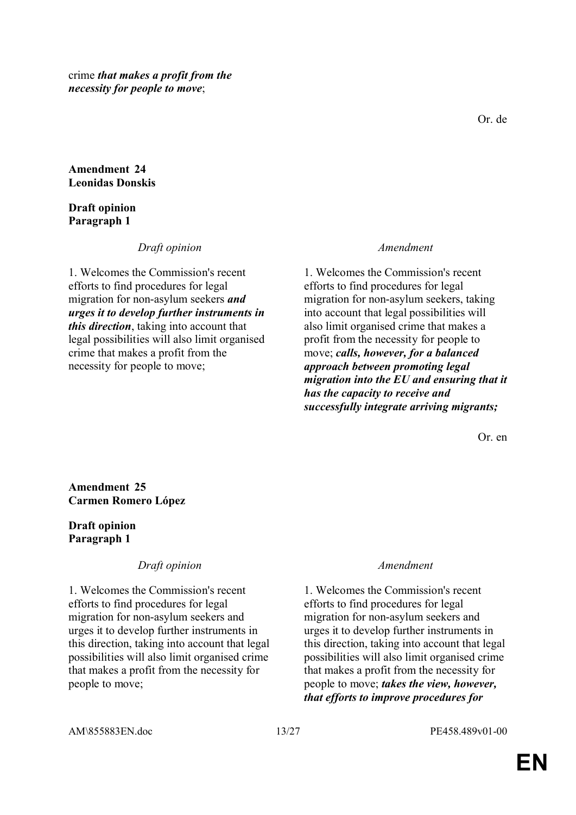crime *that makes a profit from the necessity for people to move*;

**Amendment 24 Leonidas Donskis**

### **Draft opinion Paragraph 1**

*Draft opinion Amendment*

1. Welcomes the Commission's recent efforts to find procedures for legal migration for non-asylum seekers *and urges it to develop further instruments in this direction*, taking into account that legal possibilities will also limit organised crime that makes a profit from the necessity for people to move;

1. Welcomes the Commission's recent efforts to find procedures for legal migration for non-asylum seekers, taking into account that legal possibilities will also limit organised crime that makes a profit from the necessity for people to move; *calls, however, for a balanced approach between promoting legal migration into the EU and ensuring that it has the capacity to receive and successfully integrate arriving migrants;*

Or. en

**Amendment 25 Carmen Romero López**

# **Draft opinion Paragraph 1**

*Draft opinion Amendment*

1. Welcomes the Commission's recent efforts to find procedures for legal migration for non-asylum seekers and urges it to develop further instruments in this direction, taking into account that legal possibilities will also limit organised crime that makes a profit from the necessity for people to move;

1. Welcomes the Commission's recent efforts to find procedures for legal migration for non-asylum seekers and urges it to develop further instruments in this direction, taking into account that legal possibilities will also limit organised crime that makes a profit from the necessity for people to move; *takes the view, however, that efforts to improve procedures for*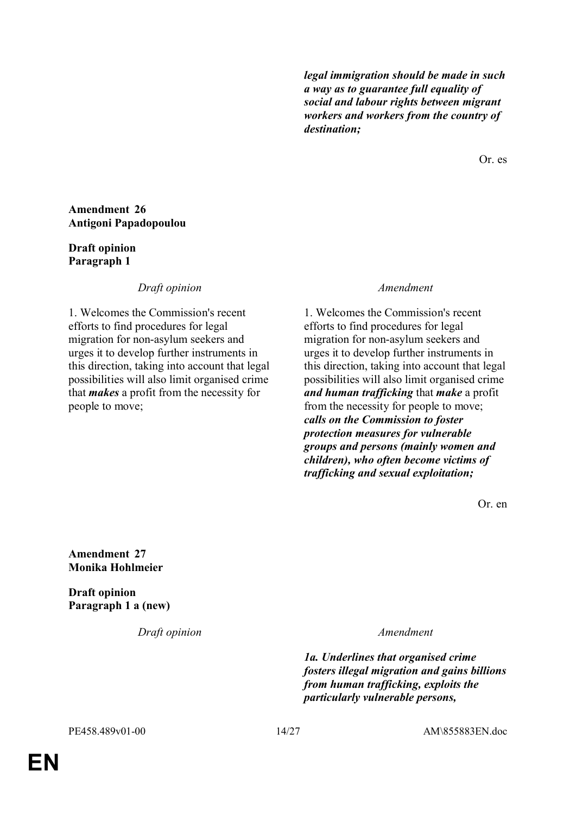*legal immigration should be made in such a way as to guarantee full equality of social and labour rights between migrant workers and workers from the country of destination;*

Or. es

### **Amendment 26 Antigoni Papadopoulou**

# **Draft opinion Paragraph 1**

*Draft opinion Amendment*

1. Welcomes the Commission's recent efforts to find procedures for legal migration for non-asylum seekers and urges it to develop further instruments in this direction, taking into account that legal possibilities will also limit organised crime that *makes* a profit from the necessity for people to move;

1. Welcomes the Commission's recent efforts to find procedures for legal migration for non-asylum seekers and urges it to develop further instruments in this direction, taking into account that legal possibilities will also limit organised crime *and human trafficking* that *make* a profit from the necessity for people to move; *calls on the Commission to foster protection measures for vulnerable groups and persons (mainly women and children), who often become victims of trafficking and sexual exploitation;*

Or. en

**Amendment 27 Monika Hohlmeier**

**Draft opinion Paragraph 1 a (new)**

*Draft opinion Amendment*

*1a. Underlines that organised crime fosters illegal migration and gains billions from human trafficking, exploits the particularly vulnerable persons,* 

PE458.489v01-00 14/27 AM\855883EN.doc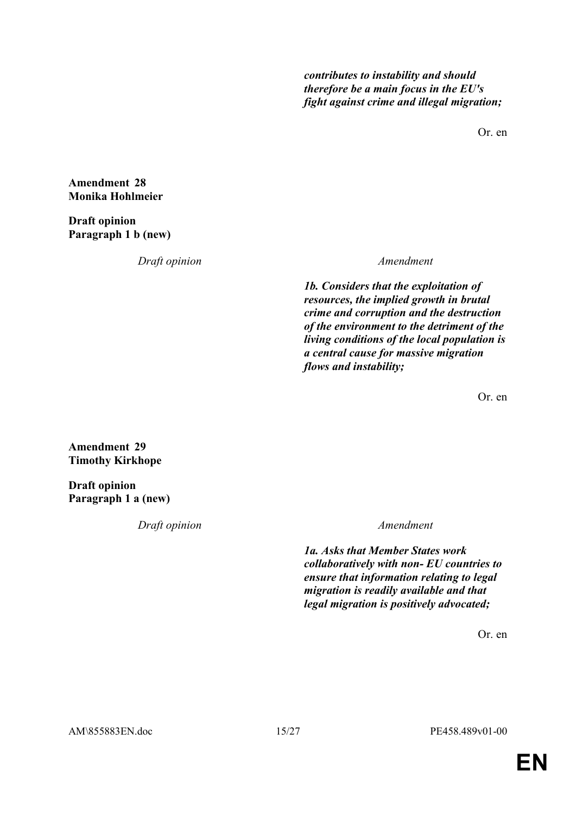*contributes to instability and should therefore be a main focus in the EU's fight against crime and illegal migration;*

Or. en

**Amendment 28 Monika Hohlmeier**

**Draft opinion Paragraph 1 b (new)**

*Draft opinion Amendment*

*1b. Considers that the exploitation of resources, the implied growth in brutal crime and corruption and the destruction of the environment to the detriment of the living conditions of the local population is a central cause for massive migration flows and instability;*

Or. en

**Amendment 29 Timothy Kirkhope**

**Draft opinion Paragraph 1 a (new)**

*Draft opinion Amendment*

*1a. Asks that Member States work collaboratively with non- EU countries to ensure that information relating to legal migration is readily available and that legal migration is positively advocated;*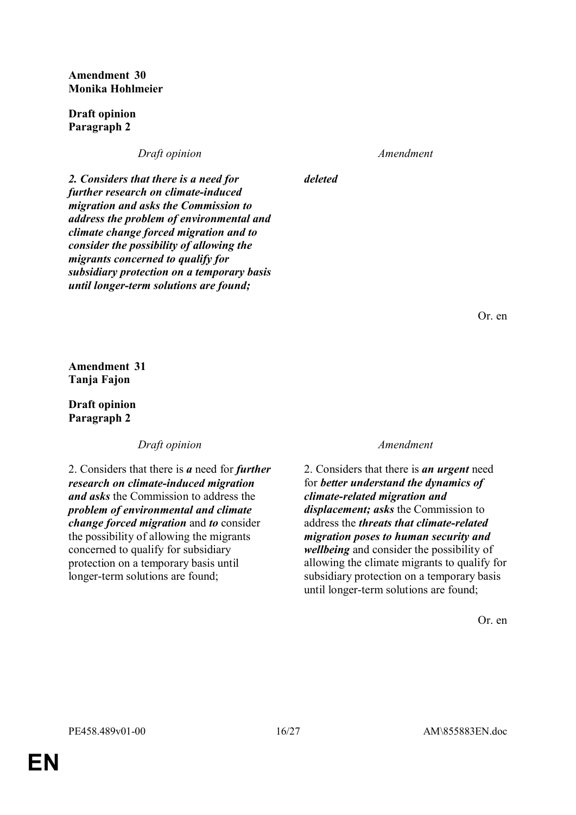**Amendment 30 Monika Hohlmeier**

**Draft opinion Paragraph 2**

*Draft opinion Amendment*

*deleted*

*2. Considers that there is a need for further research on climate-induced migration and asks the Commission to address the problem of environmental and climate change forced migration and to consider the possibility of allowing the migrants concerned to qualify for subsidiary protection on a temporary basis until longer-term solutions are found;*

Or. en

**Amendment 31 Tanja Fajon**

**Draft opinion Paragraph 2**

*Draft opinion Amendment*

2. Considers that there is *a* need for *further research on climate-induced migration and asks* the Commission to address the *problem of environmental and climate change forced migration* and *to* consider the possibility of allowing the migrants concerned to qualify for subsidiary protection on a temporary basis until longer-term solutions are found;

2. Considers that there is *an urgent* need for *better understand the dynamics of climate-related migration and displacement; asks* the Commission to address the *threats that climate-related migration poses to human security and wellbeing* and consider the possibility of allowing the climate migrants to qualify for subsidiary protection on a temporary basis until longer-term solutions are found;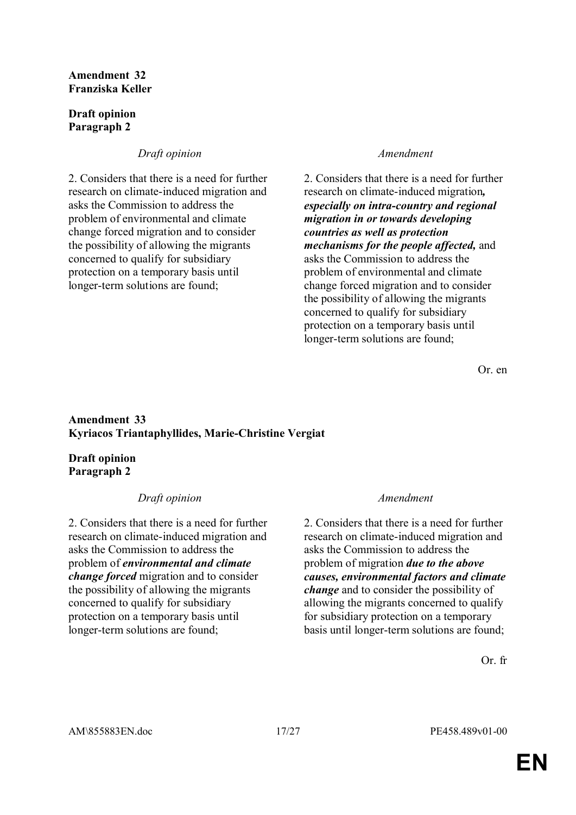### **Amendment 32 Franziska Keller**

# **Draft opinion Paragraph 2**

# *Draft opinion Amendment*

2. Considers that there is a need for further research on climate-induced migration and asks the Commission to address the problem of environmental and climate change forced migration and to consider the possibility of allowing the migrants concerned to qualify for subsidiary protection on a temporary basis until longer-term solutions are found;

2. Considers that there is a need for further research on climate-induced migration*, especially on intra-country and regional migration in or towards developing countries as well as protection mechanisms for the people affected,* and asks the Commission to address the problem of environmental and climate change forced migration and to consider the possibility of allowing the migrants concerned to qualify for subsidiary protection on a temporary basis until longer-term solutions are found;

Or. en

## **Amendment 33 Kyriacos Triantaphyllides, Marie-Christine Vergiat**

# **Draft opinion Paragraph 2**

# *Draft opinion Amendment*

2. Considers that there is a need for further research on climate-induced migration and asks the Commission to address the problem of *environmental and climate change forced* migration and to consider the possibility of allowing the migrants concerned to qualify for subsidiary protection on a temporary basis until longer-term solutions are found;

2. Considers that there is a need for further research on climate-induced migration and asks the Commission to address the problem of migration *due to the above causes, environmental factors and climate change* and to consider the possibility of allowing the migrants concerned to qualify for subsidiary protection on a temporary basis until longer-term solutions are found;

Or. fr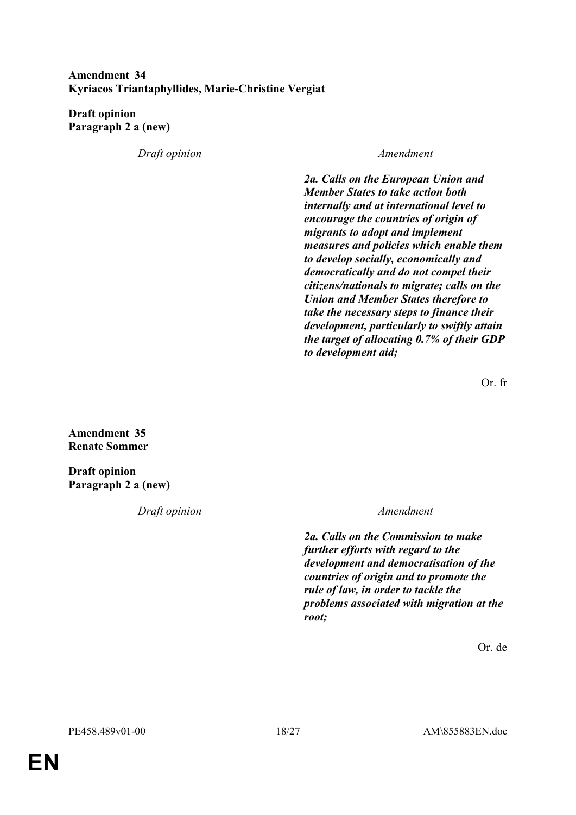# **Amendment 34 Kyriacos Triantaphyllides, Marie-Christine Vergiat**

**Draft opinion Paragraph 2 a (new)**

*Draft opinion Amendment*

*2a. Calls on the European Union and Member States to take action both internally and at international level to encourage the countries of origin of migrants to adopt and implement measures and policies which enable them to develop socially, economically and democratically and do not compel their citizens/nationals to migrate; calls on the Union and Member States therefore to take the necessary steps to finance their development, particularly to swiftly attain the target of allocating 0.7% of their GDP to development aid;*

Or. fr

**Amendment 35 Renate Sommer**

**Draft opinion Paragraph 2 a (new)**

*Draft opinion Amendment*

*2a. Calls on the Commission to make further efforts with regard to the development and democratisation of the countries of origin and to promote the rule of law, in order to tackle the problems associated with migration at the root;*

Or. de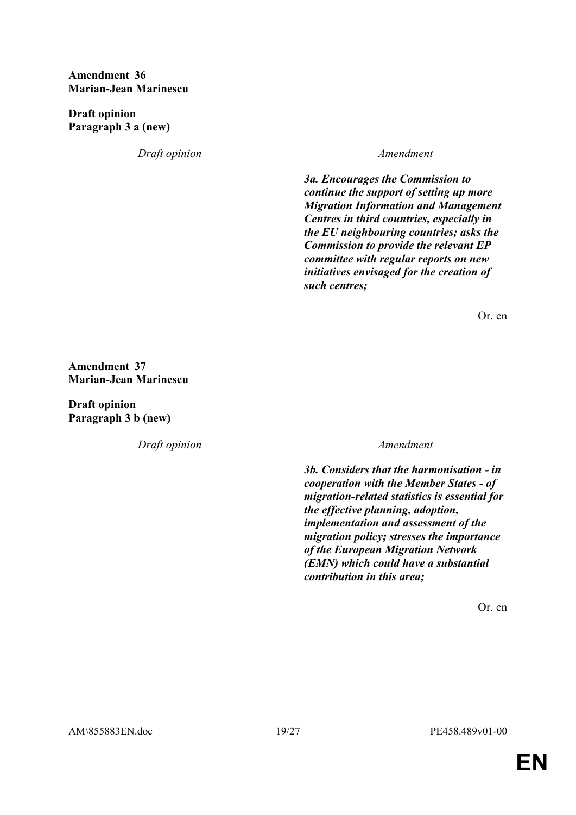### **Amendment 36 Marian-Jean Marinescu**

**Draft opinion Paragraph 3 a (new)**

*Draft opinion Amendment*

*3a. Encourages the Commission to continue the support of setting up more Migration Information and Management Centres in third countries, especially in the EU neighbouring countries; asks the Commission to provide the relevant EP committee with regular reports on new initiatives envisaged for the creation of such centres;*

Or. en

**Amendment 37 Marian-Jean Marinescu**

**Draft opinion Paragraph 3 b (new)**

*Draft opinion Amendment*

*3b. Considers that the harmonisation - in cooperation with the Member States - of migration-related statistics is essential for the effective planning, adoption, implementation and assessment of the migration policy; stresses the importance of the European Migration Network (EMN) which could have a substantial contribution in this area;*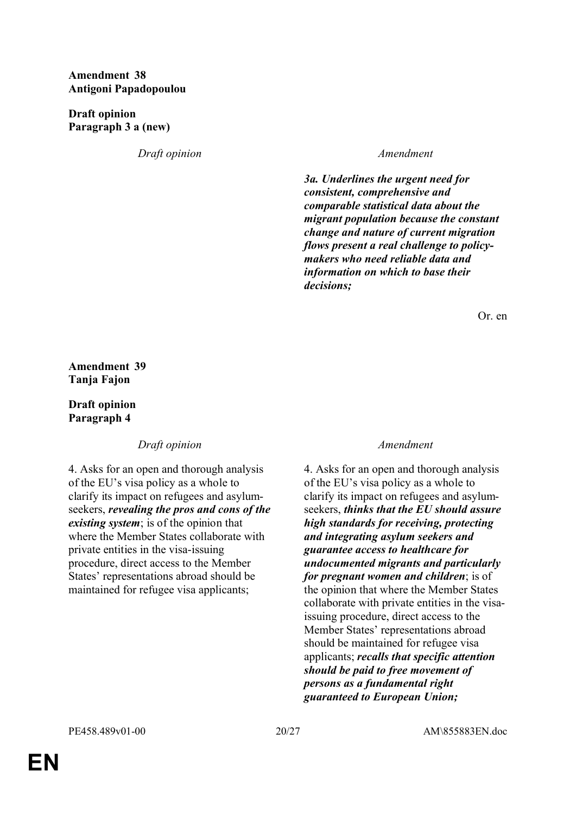# **Amendment 38 Antigoni Papadopoulou**

**Draft opinion Paragraph 3 a (new)**

*Draft opinion Amendment*

*3a. Underlines the urgent need for consistent, comprehensive and comparable statistical data about the migrant population because the constant change and nature of current migration flows present a real challenge to policymakers who need reliable data and information on which to base their decisions;*

Or. en

**Amendment 39 Tanja Fajon**

# **Draft opinion Paragraph 4**

# *Draft opinion Amendment*

4. Asks for an open and thorough analysis of the EU's visa policy as a whole to clarify its impact on refugees and asylumseekers, *revealing the pros and cons of the existing system*; is of the opinion that where the Member States collaborate with private entities in the visa-issuing procedure, direct access to the Member States' representations abroad should be maintained for refugee visa applicants;

4. Asks for an open and thorough analysis of the EU's visa policy as a whole to clarify its impact on refugees and asylumseekers, *thinks that the EU should assure high standards for receiving, protecting and integrating asylum seekers and guarantee access to healthcare for undocumented migrants and particularly for pregnant women and children*; is of the opinion that where the Member States collaborate with private entities in the visaissuing procedure, direct access to the Member States' representations abroad should be maintained for refugee visa applicants; *recalls that specific attention should be paid to free movement of persons as a fundamental right guaranteed to European Union;*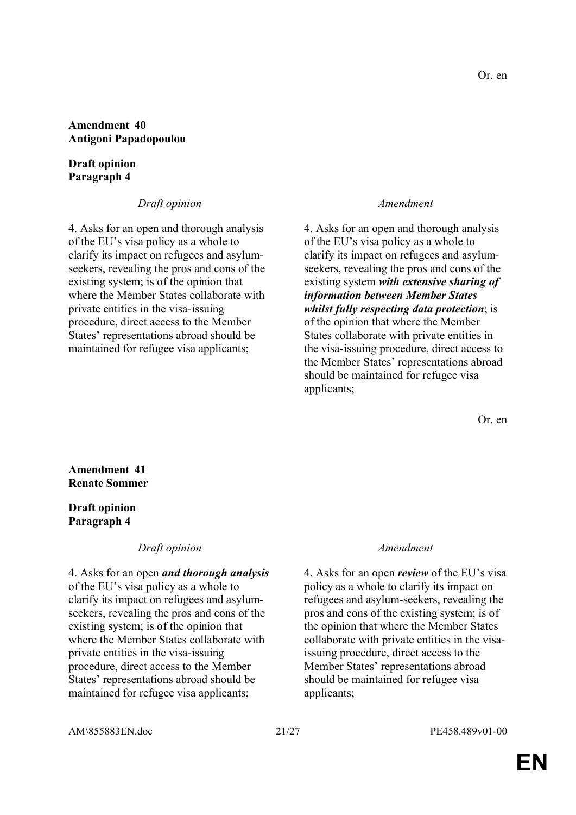### **Amendment 40 Antigoni Papadopoulou**

### **Draft opinion Paragraph 4**

# *Draft opinion Amendment*

4. Asks for an open and thorough analysis of the EU's visa policy as a whole to clarify its impact on refugees and asylumseekers, revealing the pros and cons of the existing system; is of the opinion that where the Member States collaborate with private entities in the visa-issuing procedure, direct access to the Member States' representations abroad should be maintained for refugee visa applicants;

4. Asks for an open and thorough analysis of the EU's visa policy as a whole to clarify its impact on refugees and asylumseekers, revealing the pros and cons of the existing system *with extensive sharing of information between Member States whilst fully respecting data protection*; is of the opinion that where the Member States collaborate with private entities in the visa-issuing procedure, direct access to the Member States' representations abroad should be maintained for refugee visa applicants;

Or. en

# **Amendment 41 Renate Sommer**

## **Draft opinion Paragraph 4**

# *Draft opinion Amendment*

4. Asks for an open *and thorough analysis* of the EU's visa policy as a whole to clarify its impact on refugees and asylumseekers, revealing the pros and cons of the existing system; is of the opinion that where the Member States collaborate with private entities in the visa-issuing procedure, direct access to the Member States' representations abroad should be maintained for refugee visa applicants;

4. Asks for an open *review* of the EU's visa policy as a whole to clarify its impact on refugees and asylum-seekers, revealing the pros and cons of the existing system; is of the opinion that where the Member States collaborate with private entities in the visaissuing procedure, direct access to the Member States' representations abroad should be maintained for refugee visa applicants;

AM\855883EN.doc 21/27 PE458.489v01-00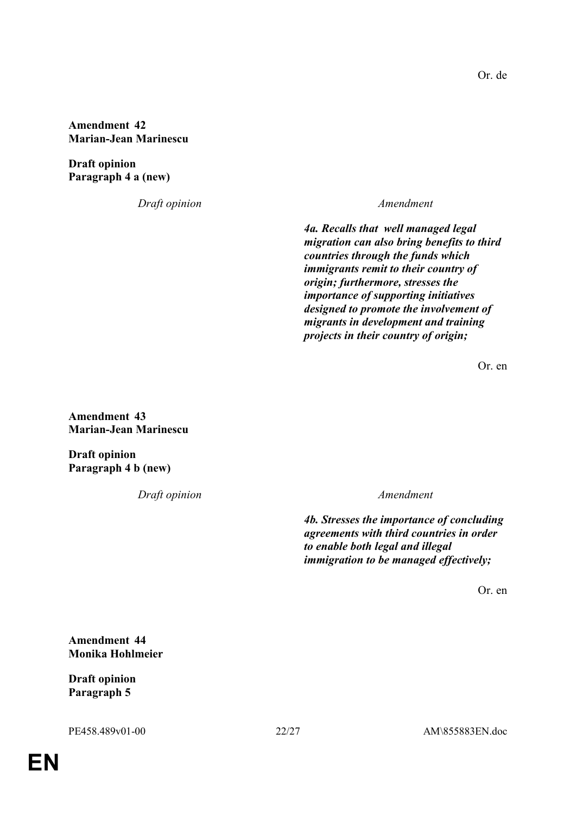**Amendment 42 Marian-Jean Marinescu**

**Draft opinion Paragraph 4 a (new)**

*Draft opinion Amendment*

*4a. Recalls that well managed legal migration can also bring benefits to third countries through the funds which immigrants remit to their country of origin; furthermore, stresses the importance of supporting initiatives designed to promote the involvement of migrants in development and training projects in their country of origin;*

Or. en

**Amendment 43 Marian-Jean Marinescu**

**Draft opinion Paragraph 4 b (new)**

*Draft opinion Amendment*

*4b. Stresses the importance of concluding agreements with third countries in order to enable both legal and illegal immigration to be managed effectively;*

Or. en

**Amendment 44 Monika Hohlmeier**

**Draft opinion Paragraph 5**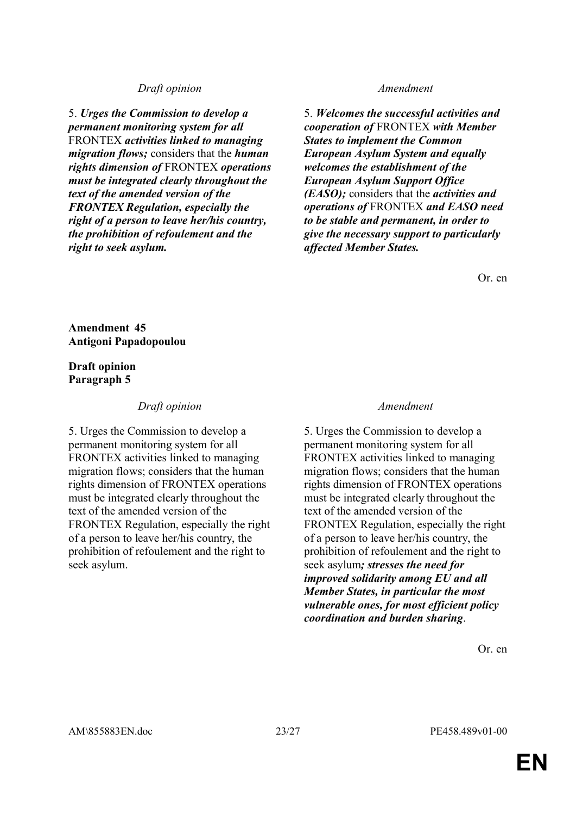### *Draft opinion Amendment*

5. *Urges the Commission to develop a permanent monitoring system for all*  FRONTEX *activities linked to managing migration flows;* considers that the *human rights dimension of* FRONTEX *operations must be integrated clearly throughout the text of the amended version of the FRONTEX Regulation, especially the right of a person to leave her/his country, the prohibition of refoulement and the right to seek asylum.*

5. *Welcomes the successful activities and cooperation of* FRONTEX *with Member States to implement the Common European Asylum System and equally welcomes the establishment of the European Asylum Support Office (EASO);* considers that the *activities and operations of* FRONTEX *and EASO need to be stable and permanent, in order to give the necessary support to particularly affected Member States.*

Or. en

**Amendment 45 Antigoni Papadopoulou**

### **Draft opinion Paragraph 5**

## *Draft opinion Amendment*

5. Urges the Commission to develop a permanent monitoring system for all FRONTEX activities linked to managing migration flows; considers that the human rights dimension of FRONTEX operations must be integrated clearly throughout the text of the amended version of the FRONTEX Regulation, especially the right of a person to leave her/his country, the prohibition of refoulement and the right to seek asylum.

5. Urges the Commission to develop a permanent monitoring system for all FRONTEX activities linked to managing migration flows; considers that the human rights dimension of FRONTEX operations must be integrated clearly throughout the text of the amended version of the FRONTEX Regulation, especially the right of a person to leave her/his country, the prohibition of refoulement and the right to seek asylum*; stresses the need for improved solidarity among EU and all Member States, in particular the most vulnerable ones, for most efficient policy coordination and burden sharing*.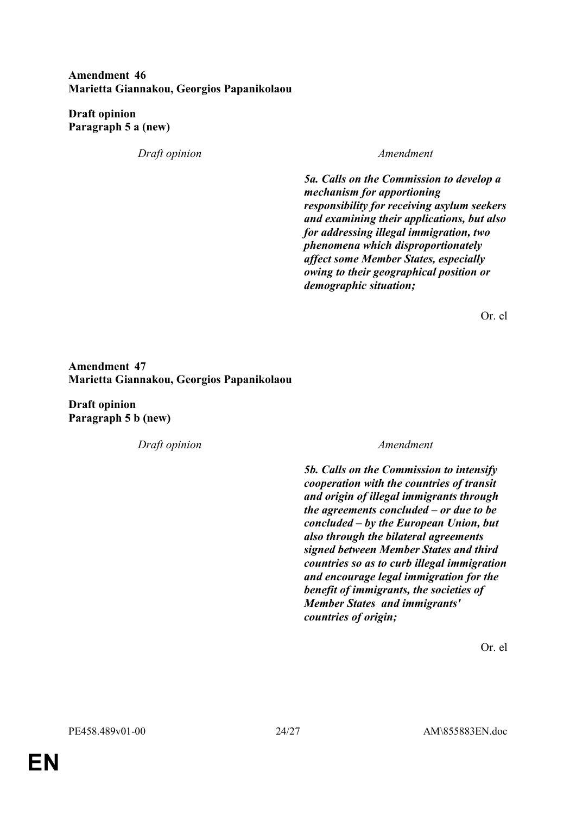# **Amendment 46 Marietta Giannakou, Georgios Papanikolaou**

**Draft opinion Paragraph 5 a (new)**

*Draft opinion Amendment*

*5a. Calls on the Commission to develop a mechanism for apportioning responsibility for receiving asylum seekers and examining their applications, but also for addressing illegal immigration, two phenomena which disproportionately affect some Member States, especially owing to their geographical position or demographic situation;*

Or. el

# **Amendment 47 Marietta Giannakou, Georgios Papanikolaou**

**Draft opinion Paragraph 5 b (new)**

*Draft opinion Amendment*

*5b. Calls on the Commission to intensify cooperation with the countries of transit and origin of illegal immigrants through the agreements concluded – or due to be concluded – by the European Union, but also through the bilateral agreements signed between Member States and third countries so as to curb illegal immigration and encourage legal immigration for the benefit of immigrants, the societies of Member States and immigrants' countries of origin;*

Or. el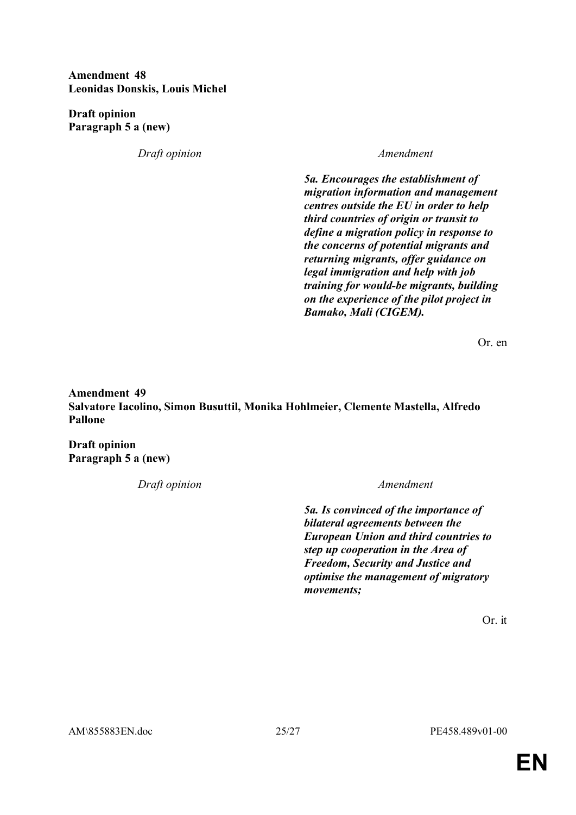**Amendment 48 Leonidas Donskis, Louis Michel**

**Draft opinion Paragraph 5 a (new)**

*Draft opinion Amendment*

*5a. Encourages the establishment of migration information and management centres outside the EU in order to help third countries of origin or transit to define a migration policy in response to the concerns of potential migrants and returning migrants, offer guidance on legal immigration and help with job training for would-be migrants, building on the experience of the pilot project in Bamako, Mali (CIGEM).*

Or. en

**Amendment 49 Salvatore Iacolino, Simon Busuttil, Monika Hohlmeier, Clemente Mastella, Alfredo Pallone**

**Draft opinion Paragraph 5 a (new)**

*Draft opinion Amendment*

*5a. Is convinced of the importance of bilateral agreements between the European Union and third countries to step up cooperation in the Area of Freedom, Security and Justice and optimise the management of migratory movements;*

Or. it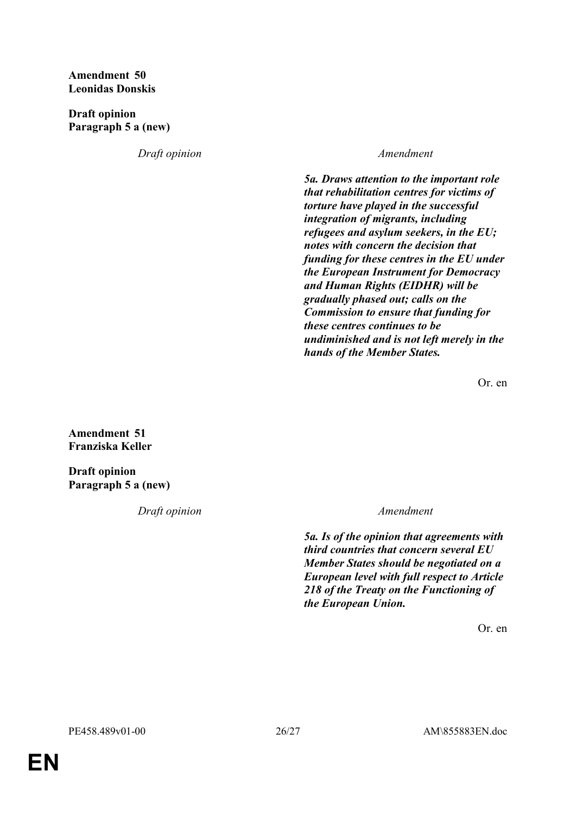# **Amendment 50 Leonidas Donskis**

**Draft opinion Paragraph 5 a (new)**

*Draft opinion Amendment*

*5a. Draws attention to the important role that rehabilitation centres for victims of torture have played in the successful integration of migrants, including refugees and asylum seekers, in the EU; notes with concern the decision that funding for these centres in the EU under the European Instrument for Democracy and Human Rights (EIDHR) will be gradually phased out; calls on the Commission to ensure that funding for these centres continues to be undiminished and is not left merely in the hands of the Member States.*

Or. en

**Amendment 51 Franziska Keller**

**Draft opinion Paragraph 5 a (new)**

*Draft opinion Amendment*

*5a. Is of the opinion that agreements with third countries that concern several EU Member States should be negotiated on a European level with full respect to Article 218 of the Treaty on the Functioning of the European Union.*